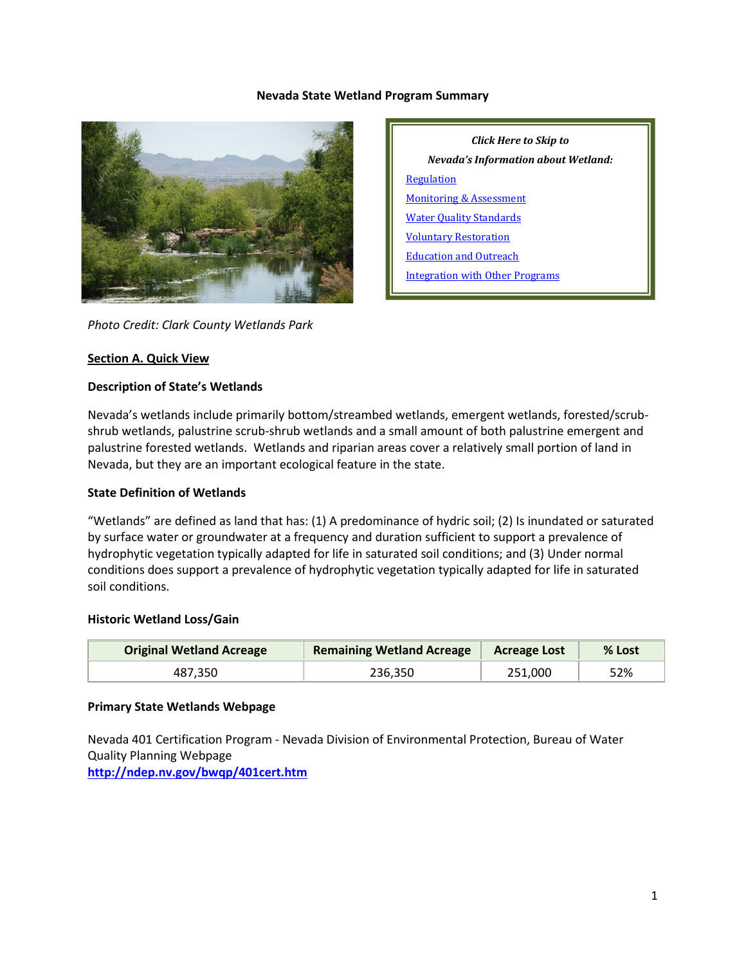#### **Nevada State Wetland Program Summary**



*Click Here to Skip to Nevada's Information about Wetland:* [Regulation](#page-2-0) [Monitoring & Assessment](#page-4-0) [Water Quality Standards](#page-6-0) [Voluntary Restoration](#page-6-1) [Education and Outreach](#page-8-0) [Integration with Other Programs](#page-8-1)

*Photo Credit: Clark County Wetlands Park*

#### **Section A. Quick View**

#### **Description of State's Wetlands**

Nevada's wetlands include primarily bottom/streambed wetlands, emergent wetlands, forested/scrubshrub wetlands, palustrine scrub-shrub wetlands and a small amount of both palustrine emergent and palustrine forested wetlands. Wetlands and riparian areas cover a relatively small portion of land in Nevada, but they are an important ecological feature in the state.

#### **State Definition of Wetlands**

"Wetlands" are defined as land that has: (1) A predominance of hydric soil; (2) Is inundated or saturated by surface water or groundwater at a frequency and duration sufficient to support a prevalence of hydrophytic vegetation typically adapted for life in saturated soil conditions; and (3) Under normal conditions does support a prevalence of hydrophytic vegetation typically adapted for life in saturated soil conditions.

#### **Historic Wetland Loss/Gain**

| <b>Original Wetland Acreage</b> | <b>Remaining Wetland Acreage</b> | <b>Acreage Lost</b> | % Lost |
|---------------------------------|----------------------------------|---------------------|--------|
| 487.350                         | 236.350                          | 251.000             | 52%    |

#### **Primary State Wetlands Webpage**

Nevada 401 Certification Program - Nevada Division of Environmental Protection, Bureau of Water Quality Planning Webpage

**<http://ndep.nv.gov/bwqp/401cert.htm>**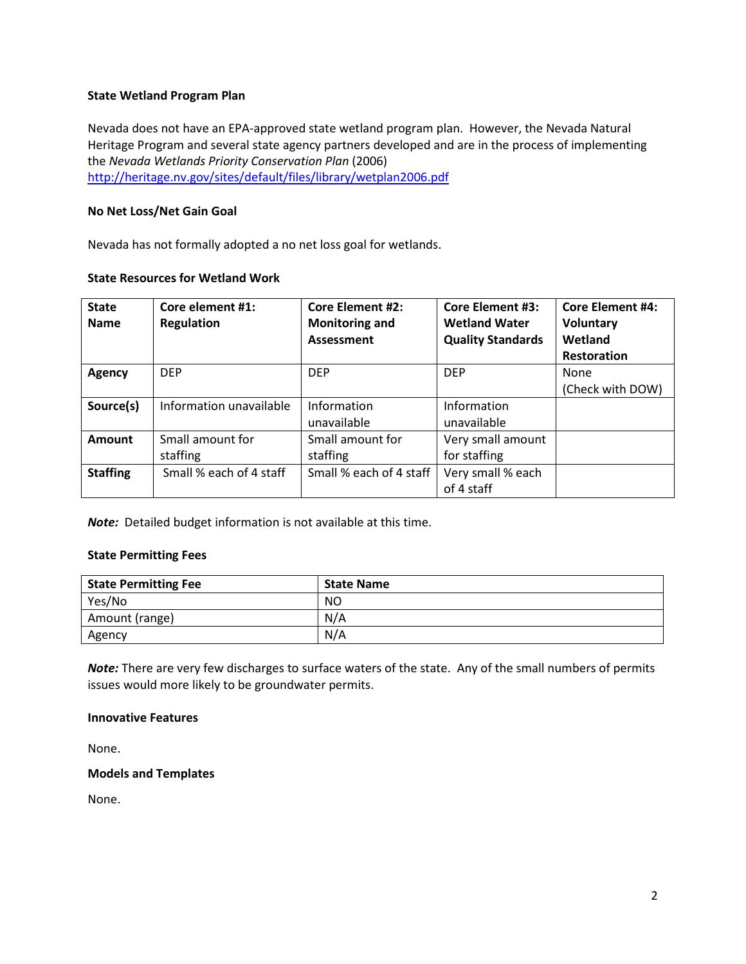### **State Wetland Program Plan**

Nevada does not have an EPA-approved state wetland program plan. However, the Nevada Natural Heritage Program and several state agency partners developed and are in the process of implementing the *Nevada Wetlands Priority Conservation Plan* (2006) <http://heritage.nv.gov/sites/default/files/library/wetplan2006.pdf>

# **No Net Loss/Net Gain Goal**

Nevada has not formally adopted a no net loss goal for wetlands.

#### **State Resources for Wetland Work**

| <b>State</b><br><b>Name</b> | Core element #1:<br><b>Regulation</b> | <b>Core Element #2:</b><br><b>Monitoring and</b><br><b>Assessment</b> | <b>Core Element #3:</b><br><b>Wetland Water</b><br><b>Quality Standards</b> | <b>Core Element #4:</b><br><b>Voluntary</b><br>Wetland<br><b>Restoration</b> |
|-----------------------------|---------------------------------------|-----------------------------------------------------------------------|-----------------------------------------------------------------------------|------------------------------------------------------------------------------|
| <b>Agency</b>               | <b>DFP</b>                            | <b>DEP</b>                                                            | <b>DFP</b>                                                                  | None                                                                         |
|                             |                                       |                                                                       |                                                                             | (Check with DOW)                                                             |
| Source(s)                   | Information unavailable               | Information                                                           | Information                                                                 |                                                                              |
|                             |                                       | unavailable                                                           | unavailable                                                                 |                                                                              |
| Amount                      | Small amount for                      | Small amount for                                                      | Very small amount                                                           |                                                                              |
|                             | staffing                              | staffing                                                              | for staffing                                                                |                                                                              |
| <b>Staffing</b>             | Small % each of 4 staff               | Small % each of 4 staff                                               | Very small % each                                                           |                                                                              |
|                             |                                       |                                                                       | of 4 staff                                                                  |                                                                              |

**Note:** Detailed budget information is not available at this time.

#### **State Permitting Fees**

| <b>State Permitting Fee</b> | <b>State Name</b> |
|-----------------------------|-------------------|
| Yes/No                      | NO                |
| Amount (range)              | N/A               |
| Agency                      | N/A               |

*Note:* There are very few discharges to surface waters of the state. Any of the small numbers of permits issues would more likely to be groundwater permits.

### **Innovative Features**

None.

# **Models and Templates**

None.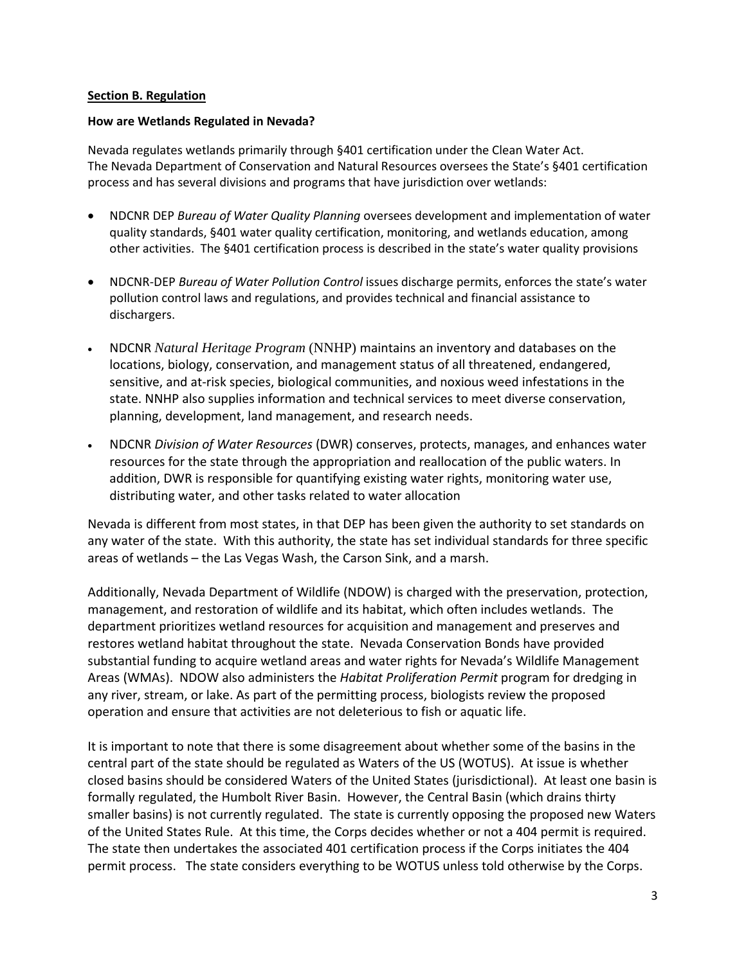# <span id="page-2-0"></span>**Section B. Regulation**

#### **How are Wetlands Regulated in Nevada?**

Nevada regulates wetlands primarily through §401 certification under the Clean Water Act. The Nevada Department of Conservation and Natural Resources oversees the State's §401 certification process and has several divisions and programs that have jurisdiction over wetlands:

- NDCNR DEP *Bureau of Water Quality Planning* oversees development and implementation of water quality standards, §401 water quality certification, monitoring, and wetlands education, among other activities. The §401 certification process is described in the state's water quality provisions
- NDCNR-DEP *Bureau of Water Pollution Control* issues discharge permits, enforces the state's water pollution control laws and regulations, and provides technical and financial assistance to dischargers.
- NDCNR *Natural Heritage Program* (NNHP) maintains an inventory and databases on the locations, biology, conservation, and management status of all threatened, endangered, sensitive, and at-risk species, biological communities, and noxious weed infestations in the state. NNHP also supplies information and technical services to meet diverse conservation, planning, development, land management, and research needs.
- NDCNR *Division of Water Resources* (DWR) conserves, protects, manages, and enhances water resources for the state through the appropriation and reallocation of the public waters. In addition, DWR is responsible for quantifying existing water rights, monitoring water use, distributing water, and other tasks related to water allocation

Nevada is different from most states, in that DEP has been given the authority to set standards on any water of the state. With this authority, the state has set individual standards for three specific areas of wetlands – the Las Vegas Wash, the Carson Sink, and a marsh.

Additionally, Nevada Department of Wildlife (NDOW) is charged with the preservation, protection, management, and restoration of wildlife and its habitat, which often includes wetlands. The department prioritizes wetland resources for acquisition and management and preserves and restores wetland habitat throughout the state. Nevada Conservation Bonds have provided substantial funding to acquire wetland areas and water rights for Nevada's Wildlife Management Areas (WMAs). NDOW also administers the *Habitat Proliferation Permit* program for dredging in any river, stream, or lake. As part of the permitting process, biologists review the proposed operation and ensure that activities are not deleterious to fish or aquatic life.

It is important to note that there is some disagreement about whether some of the basins in the central part of the state should be regulated as Waters of the US (WOTUS). At issue is whether closed basins should be considered Waters of the United States (jurisdictional). At least one basin is formally regulated, the Humbolt River Basin. However, the Central Basin (which drains thirty smaller basins) is not currently regulated. The state is currently opposing the proposed new Waters of the United States Rule. At this time, the Corps decides whether or not a 404 permit is required. The state then undertakes the associated 401 certification process if the Corps initiates the 404 permit process. The state considers everything to be WOTUS unless told otherwise by the Corps.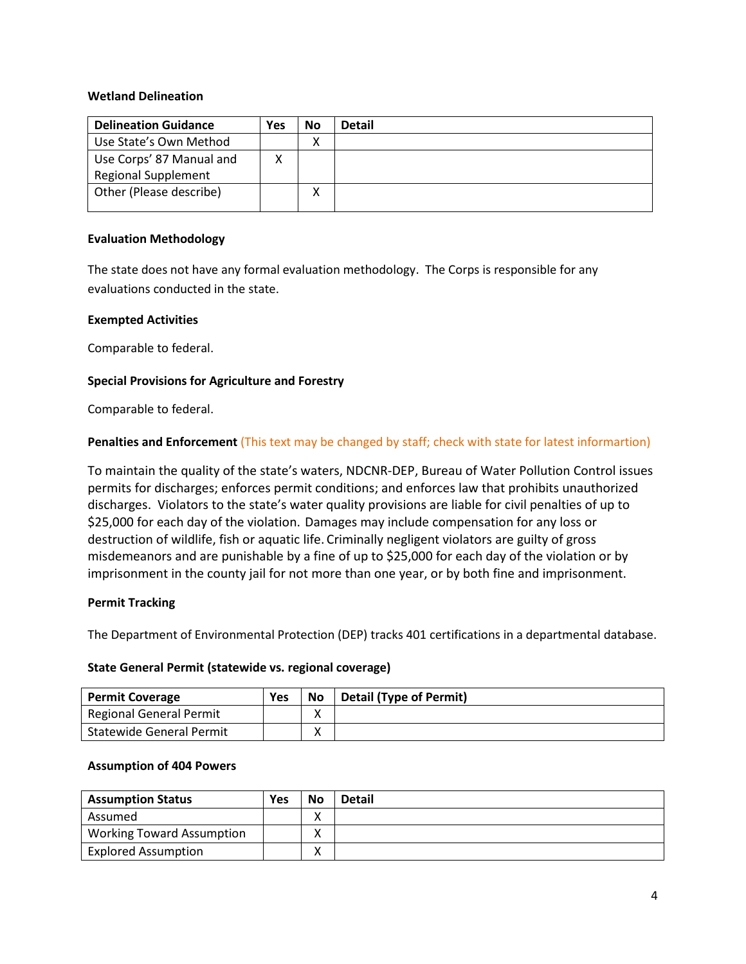### **Wetland Delineation**

| <b>Delineation Guidance</b>                            | Yes | No | <b>Detail</b> |
|--------------------------------------------------------|-----|----|---------------|
| Use State's Own Method                                 |     | х  |               |
| Use Corps' 87 Manual and<br><b>Regional Supplement</b> |     |    |               |
| Other (Please describe)                                |     |    |               |

### **Evaluation Methodology**

The state does not have any formal evaluation methodology. The Corps is responsible for any evaluations conducted in the state.

#### **Exempted Activities**

Comparable to federal.

# **Special Provisions for Agriculture and Forestry**

Comparable to federal.

# **Penalties and Enforcement** (This text may be changed by staff; check with state for latest informartion)

To maintain the quality of the state's waters, NDCNR-DEP, Bureau of Water Pollution Control issues permits for discharges; enforces permit conditions; and enforces law that prohibits unauthorized discharges. Violators to the state's water quality provisions are liable for civil penalties of up to \$25,000 for each day of the violation. Damages may include compensation for any loss or destruction of wildlife, fish or aquatic life. Criminally negligent violators are guilty of gross misdemeanors and are punishable by a fine of up to \$25,000 for each day of the violation or by imprisonment in the county jail for not more than one year, or by both fine and imprisonment.

#### **Permit Tracking**

The Department of Environmental Protection (DEP) tracks 401 certifications in a departmental database.

#### **State General Permit (statewide vs. regional coverage)**

| <b>Permit Coverage</b>          | Yes | No     | <b>Detail (Type of Permit)</b> |
|---------------------------------|-----|--------|--------------------------------|
| <b>Regional General Permit</b>  |     | ∧      |                                |
| <b>Statewide General Permit</b> |     | v<br>∧ |                                |

#### **Assumption of 404 Powers**

| <b>Assumption Status</b>         | Yes | <b>No</b> | <b>Detail</b> |
|----------------------------------|-----|-----------|---------------|
| Assumed                          |     |           |               |
| <b>Working Toward Assumption</b> |     |           |               |
| <b>Explored Assumption</b>       |     |           |               |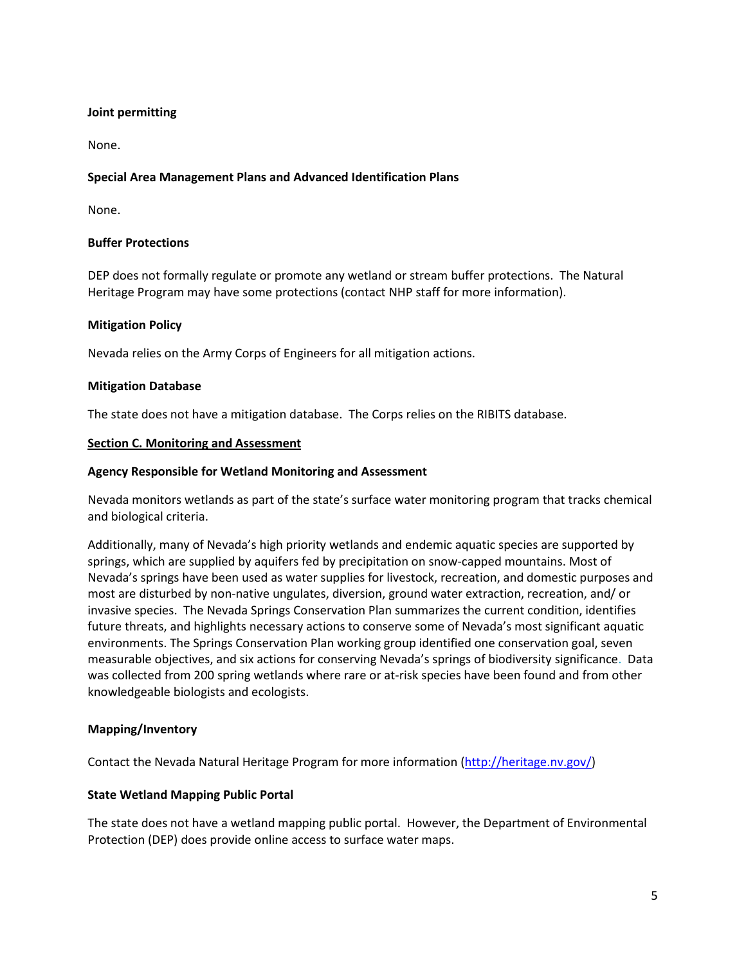# **Joint permitting**

None.

# **Special Area Management Plans and Advanced Identification Plans**

None.

# **Buffer Protections**

DEP does not formally regulate or promote any wetland or stream buffer protections. The Natural Heritage Program may have some protections (contact NHP staff for more information).

# **Mitigation Policy**

Nevada relies on the Army Corps of Engineers for all mitigation actions.

# **Mitigation Database**

The state does not have a mitigation database. The Corps relies on the RIBITS database.

#### <span id="page-4-0"></span>**Section C. Monitoring and Assessment**

#### **Agency Responsible for Wetland Monitoring and Assessment**

Nevada monitors wetlands as part of the state's surface water monitoring program that tracks chemical and biological criteria.

Additionally, many of Nevada's high priority wetlands and endemic aquatic species are supported by springs, which are supplied by aquifers fed by precipitation on snow-capped mountains. Most of Nevada's springs have been used as water supplies for livestock, recreation, and domestic purposes and most are disturbed by non-native ungulates, diversion, ground water extraction, recreation, and/ or invasive species. The Nevada Springs Conservation Plan summarizes the current condition, identifies future threats, and highlights necessary actions to conserve some of Nevada's most significant aquatic environments. The Springs Conservation Plan working group identified one conservation goal, seven measurable objectives, and six actions for conserving Nevada's springs of biodiversity significance. Data was collected from 200 spring wetlands where rare or at-risk species have been found and from other knowledgeable biologists and ecologists.

# **Mapping/Inventory**

Contact the Nevada Natural Heritage Program for more information [\(http://heritage.nv.gov/\)](http://heritage.nv.gov/)

# **State Wetland Mapping Public Portal**

The state does not have a wetland mapping public portal. However, the Department of Environmental Protection (DEP) does provide online access to surface water maps.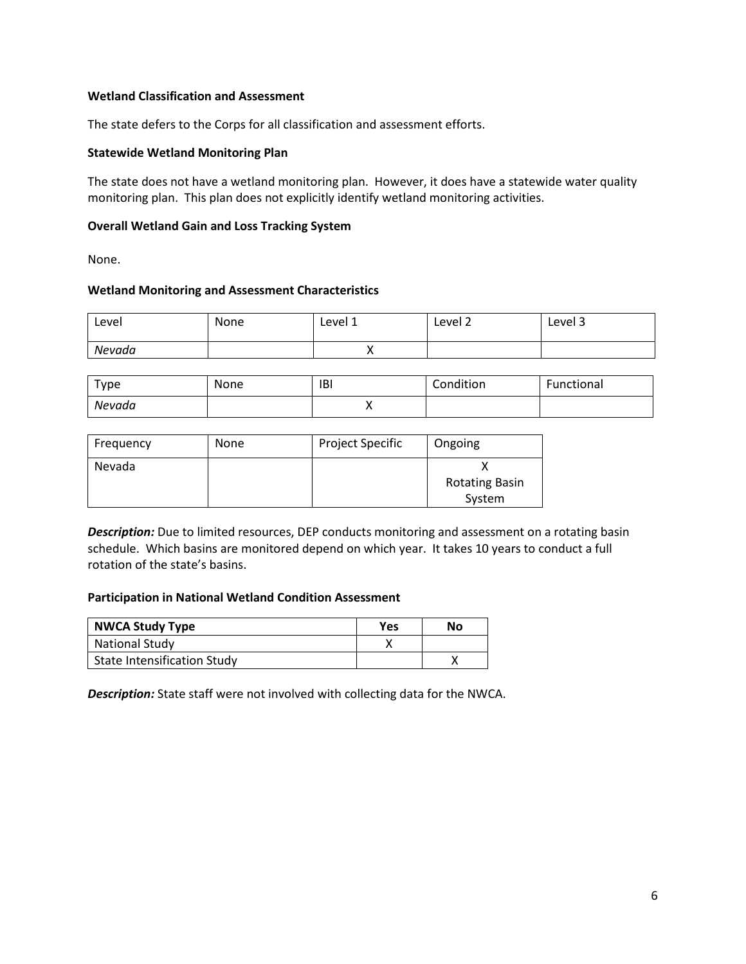# **Wetland Classification and Assessment**

The state defers to the Corps for all classification and assessment efforts.

#### **Statewide Wetland Monitoring Plan**

The state does not have a wetland monitoring plan. However, it does have a statewide water quality monitoring plan. This plan does not explicitly identify wetland monitoring activities.

### **Overall Wetland Gain and Loss Tracking System**

None.

#### **Wetland Monitoring and Assessment Characteristics**

| Level  | None | Level 1  | Level 2 | Level 3 |
|--------|------|----------|---------|---------|
| Nevada |      | $\cdots$ |         |         |

| туре   | None | IBI | Condition | Functional |
|--------|------|-----|-----------|------------|
| Nevada |      |     |           |            |

| Frequency | <b>None</b> | <b>Project Specific</b> | Ongoing                         |
|-----------|-------------|-------------------------|---------------------------------|
| Nevada    |             |                         | <b>Rotating Basin</b><br>System |

*Description:* Due to limited resources, DEP conducts monitoring and assessment on a rotating basin schedule. Which basins are monitored depend on which year. It takes 10 years to conduct a full rotation of the state's basins.

#### **Participation in National Wetland Condition Assessment**

| <b>NWCA Study Type</b>             | Yes | No |
|------------------------------------|-----|----|
| <b>National Study</b>              |     |    |
| <b>State Intensification Study</b> |     |    |

*Description:* State staff were not involved with collecting data for the NWCA.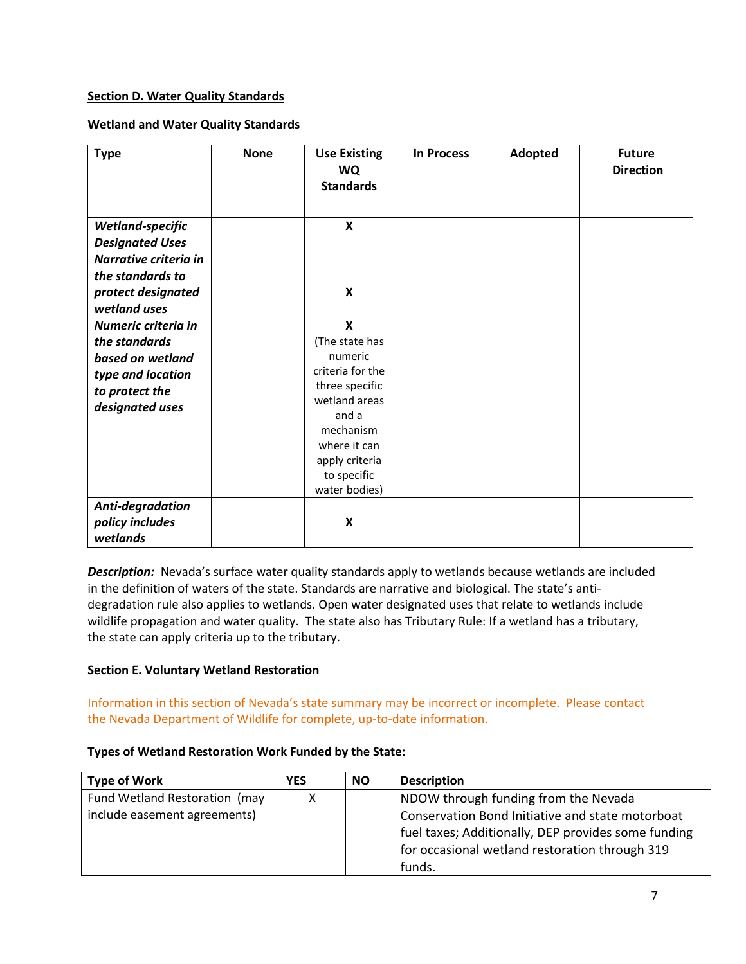# <span id="page-6-0"></span>**Section D. Water Quality Standards**

# **Wetland and Water Quality Standards**

| <b>Type</b>                                                                                                        | <b>None</b> | <b>Use Existing</b><br><b>WQ</b><br><b>Standards</b>                                                                                                                                                  | <b>In Process</b> | Adopted | <b>Future</b><br><b>Direction</b> |
|--------------------------------------------------------------------------------------------------------------------|-------------|-------------------------------------------------------------------------------------------------------------------------------------------------------------------------------------------------------|-------------------|---------|-----------------------------------|
| Wetland-specific<br><b>Designated Uses</b>                                                                         |             | X                                                                                                                                                                                                     |                   |         |                                   |
| Narrative criteria in<br>the standards to<br>protect designated<br>wetland uses                                    |             | X                                                                                                                                                                                                     |                   |         |                                   |
| Numeric criteria in<br>the standards<br>based on wetland<br>type and location<br>to protect the<br>designated uses |             | $\boldsymbol{\mathsf{x}}$<br>(The state has<br>numeric<br>criteria for the<br>three specific<br>wetland areas<br>and a<br>mechanism<br>where it can<br>apply criteria<br>to specific<br>water bodies) |                   |         |                                   |
| Anti-degradation<br>policy includes<br>wetlands                                                                    |             | X                                                                                                                                                                                                     |                   |         |                                   |

**Description:** Nevada's surface water quality standards apply to wetlands because wetlands are included in the definition of waters of the state. Standards are narrative and biological. The state's antidegradation rule also applies to wetlands. Open water designated uses that relate to wetlands include wildlife propagation and water quality. The state also has Tributary Rule: If a wetland has a tributary, the state can apply criteria up to the tributary.

# <span id="page-6-1"></span>**Section E. Voluntary Wetland Restoration**

Information in this section of Nevada's state summary may be incorrect or incomplete. Please contact the Nevada Department of Wildlife for complete, up-to-date information.

# **Types of Wetland Restoration Work Funded by the State:**

| <b>Type of Work</b>           | <b>YES</b> | <b>NO</b> | <b>Description</b>                                  |
|-------------------------------|------------|-----------|-----------------------------------------------------|
| Fund Wetland Restoration (may | χ          |           | NDOW through funding from the Nevada                |
| include easement agreements)  |            |           | Conservation Bond Initiative and state motorboat    |
|                               |            |           | fuel taxes; Additionally, DEP provides some funding |
|                               |            |           | for occasional wetland restoration through 319      |
|                               |            |           | funds.                                              |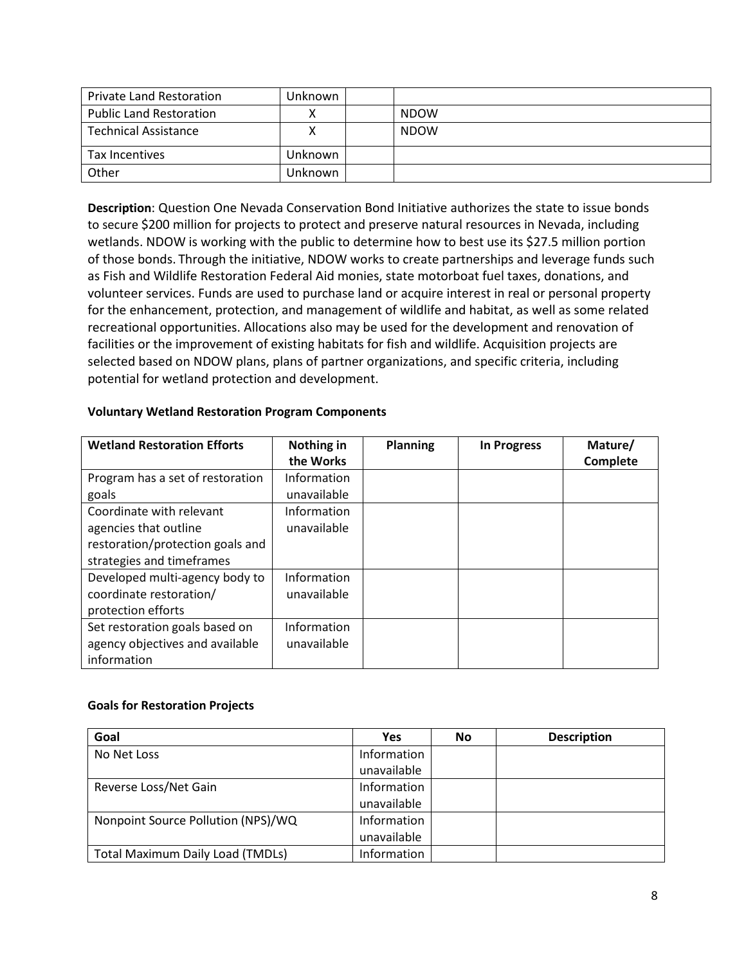| <b>Private Land Restoration</b> | Unknown |             |
|---------------------------------|---------|-------------|
| <b>Public Land Restoration</b>  |         | <b>NDOW</b> |
| <b>Technical Assistance</b>     |         | <b>NDOW</b> |
| Tax Incentives                  | Unknown |             |
| Other                           | Unknown |             |

**Description**: Question One Nevada Conservation Bond Initiative authorizes the state to issue bonds to secure \$200 million for projects to protect and preserve natural resources in Nevada, including wetlands. NDOW is working with the public to determine how to best use its \$27.5 million portion of those bonds. Through the initiative, NDOW works to create partnerships and leverage funds such as Fish and Wildlife Restoration Federal Aid monies, state motorboat fuel taxes, donations, and volunteer services. Funds are used to purchase land or acquire interest in real or personal property for the enhancement, protection, and management of wildlife and habitat, as well as some related recreational opportunities. Allocations also may be used for the development and renovation of facilities or the improvement of existing habitats for fish and wildlife. Acquisition projects are selected based on NDOW plans, plans of partner organizations, and specific criteria, including potential for wetland protection and development.

| <b>Voluntary Wetland Restoration Program Components</b> |  |  |  |  |  |
|---------------------------------------------------------|--|--|--|--|--|
|---------------------------------------------------------|--|--|--|--|--|

| <b>Wetland Restoration Efforts</b> | Nothing in<br>the Works | <b>Planning</b> | <b>In Progress</b> | Mature/<br>Complete |
|------------------------------------|-------------------------|-----------------|--------------------|---------------------|
| Program has a set of restoration   | Information             |                 |                    |                     |
| goals                              | unavailable             |                 |                    |                     |
| Coordinate with relevant           | Information             |                 |                    |                     |
| agencies that outline              | unavailable             |                 |                    |                     |
| restoration/protection goals and   |                         |                 |                    |                     |
| strategies and timeframes          |                         |                 |                    |                     |
| Developed multi-agency body to     | Information             |                 |                    |                     |
| coordinate restoration/            | unavailable             |                 |                    |                     |
| protection efforts                 |                         |                 |                    |                     |
| Set restoration goals based on     | Information             |                 |                    |                     |
| agency objectives and available    | unavailable             |                 |                    |                     |
| information                        |                         |                 |                    |                     |

# **Goals for Restoration Projects**

| Goal                                    | Yes         | <b>No</b> | <b>Description</b> |
|-----------------------------------------|-------------|-----------|--------------------|
| No Net Loss                             | Information |           |                    |
|                                         | unavailable |           |                    |
| Reverse Loss/Net Gain                   | Information |           |                    |
|                                         | unavailable |           |                    |
| Nonpoint Source Pollution (NPS)/WQ      | Information |           |                    |
|                                         | unavailable |           |                    |
| <b>Total Maximum Daily Load (TMDLs)</b> | Information |           |                    |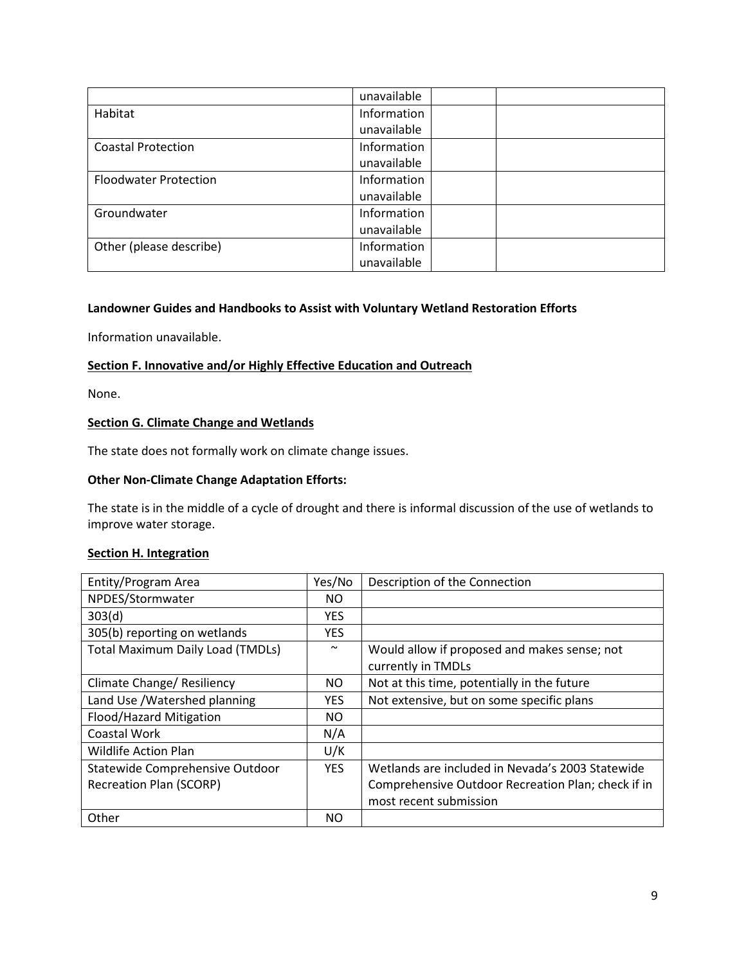|                              | unavailable |  |
|------------------------------|-------------|--|
| Habitat                      | Information |  |
|                              | unavailable |  |
| <b>Coastal Protection</b>    | Information |  |
|                              | unavailable |  |
| <b>Floodwater Protection</b> | Information |  |
|                              | unavailable |  |
| Groundwater                  | Information |  |
|                              | unavailable |  |
| Other (please describe)      | Information |  |
|                              | unavailable |  |

# **Landowner Guides and Handbooks to Assist with Voluntary Wetland Restoration Efforts**

Information unavailable.

# <span id="page-8-0"></span>**Section F. Innovative and/or Highly Effective Education and Outreach**

None.

# **Section G. Climate Change and Wetlands**

The state does not formally work on climate change issues.

### **Other Non-Climate Change Adaptation Efforts:**

The state is in the middle of a cycle of drought and there is informal discussion of the use of wetlands to improve water storage.

### <span id="page-8-1"></span>**Section H. Integration**

| Entity/Program Area                     | Yes/No     | Description of the Connection                                      |
|-----------------------------------------|------------|--------------------------------------------------------------------|
| NPDES/Stormwater                        | NO.        |                                                                    |
| 303(d)                                  | <b>YES</b> |                                                                    |
| 305(b) reporting on wetlands            | <b>YES</b> |                                                                    |
| <b>Total Maximum Daily Load (TMDLs)</b> | $\sim$     | Would allow if proposed and makes sense; not<br>currently in TMDLs |
| Climate Change/ Resiliency              | <b>NO</b>  | Not at this time, potentially in the future                        |
| Land Use / Watershed planning           | <b>YES</b> | Not extensive, but on some specific plans                          |
| Flood/Hazard Mitigation                 | NO.        |                                                                    |
| Coastal Work                            | N/A        |                                                                    |
| <b>Wildlife Action Plan</b>             | U/K        |                                                                    |
| Statewide Comprehensive Outdoor         | <b>YES</b> | Wetlands are included in Nevada's 2003 Statewide                   |
| <b>Recreation Plan (SCORP)</b>          |            | Comprehensive Outdoor Recreation Plan; check if in                 |
|                                         |            | most recent submission                                             |
| Other                                   | <b>NO</b>  |                                                                    |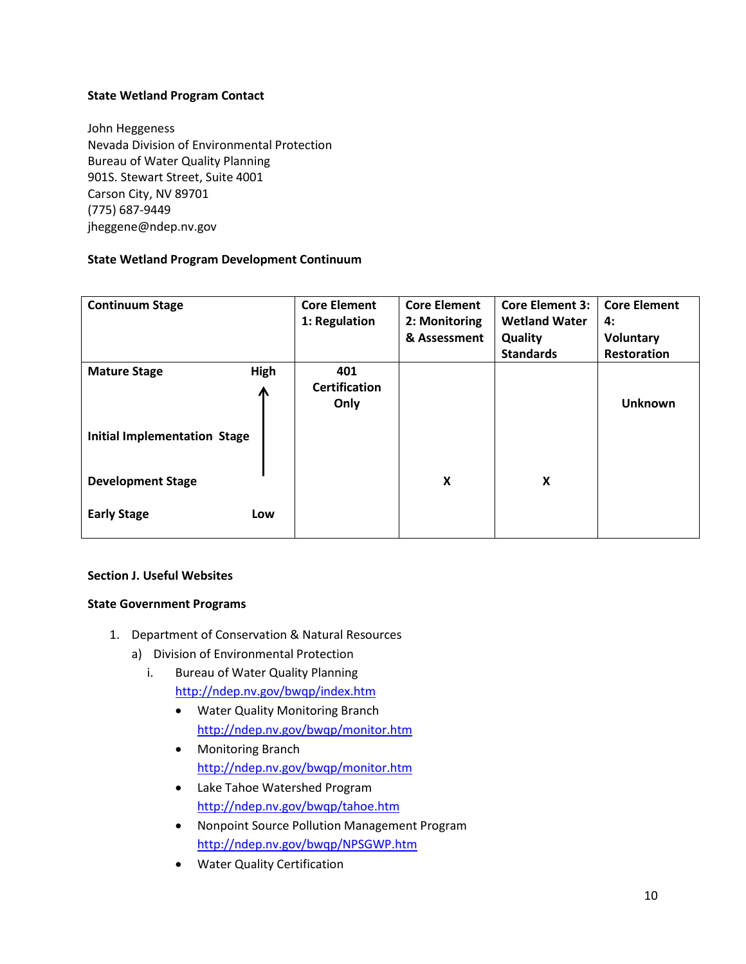# **State Wetland Program Contact**

John Heggeness Nevada Division of Environmental Protection Bureau of Water Quality Planning 901S. Stewart Street, Suite 4001 Carson City, NV 89701 (775) 687-9449 jheggene@ndep.nv.gov

# **State Wetland Program Development Continuum**

| <b>Continuum Stage</b>              |           | <b>Core Element</b><br>1: Regulation | <b>Core Element</b><br>2: Monitoring<br>& Assessment | <b>Core Element 3:</b><br><b>Wetland Water</b><br>Quality | <b>Core Element</b><br>4:<br>Voluntary |
|-------------------------------------|-----------|--------------------------------------|------------------------------------------------------|-----------------------------------------------------------|----------------------------------------|
|                                     |           |                                      |                                                      | <b>Standards</b>                                          | <b>Restoration</b>                     |
| <b>Mature Stage</b>                 | High<br>Л | 401<br><b>Certification</b><br>Only  |                                                      |                                                           | <b>Unknown</b>                         |
| <b>Initial Implementation Stage</b> |           |                                      |                                                      |                                                           |                                        |
| <b>Development Stage</b>            |           |                                      | X                                                    | X                                                         |                                        |
| <b>Early Stage</b>                  | Low       |                                      |                                                      |                                                           |                                        |

# **Section J. Useful Websites**

# **State Government Programs**

- 1. Department of Conservation & Natural Resources
	- a) Division of Environmental Protection
		- i. Bureau of Water Quality Planning <http://ndep.nv.gov/bwqp/index.htm>
			- Water Quality Monitoring Branch <http://ndep.nv.gov/bwqp/monitor.htm>
			- Monitoring Branch <http://ndep.nv.gov/bwqp/monitor.htm>
			- Lake Tahoe Watershed Program <http://ndep.nv.gov/bwqp/tahoe.htm>
			- Nonpoint Source Pollution Management Program <http://ndep.nv.gov/bwqp/NPSGWP.htm>
			- Water Quality Certification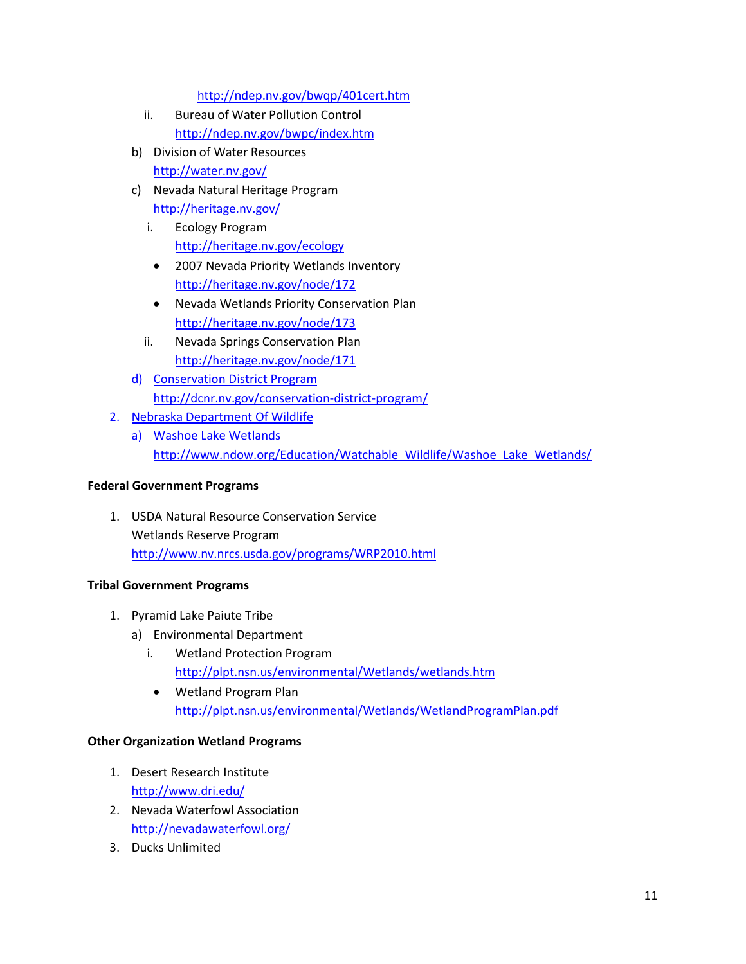<http://ndep.nv.gov/bwqp/401cert.htm>

- ii. Bureau of Water Pollution Control <http://ndep.nv.gov/bwpc/index.htm>
- b) Division of Water Resources <http://water.nv.gov/>
- c) Nevada Natural Heritage Program <http://heritage.nv.gov/>
	- i. Ecology Program <http://heritage.nv.gov/ecology>
	- 2007 Nevada Priority Wetlands Inventory <http://heritage.nv.gov/node/172>
	- Nevada Wetlands Priority Conservation Plan <http://heritage.nv.gov/node/173>
	- ii. Nevada Springs Conservation Plan <http://heritage.nv.gov/node/171>
- d) Conservation District Program <http://dcnr.nv.gov/conservation-district-program/>
- 2. Nebraska Department Of Wildlife
	- a) Washoe Lake Wetlands [http://www.ndow.org/Education/Watchable\\_Wildlife/Washoe\\_Lake\\_Wetlands/](http://www.ndow.org/Education/Watchable_Wildlife/Washoe_Lake_Wetlands/)

# **Federal Government Programs**

1. USDA Natural Resource Conservation Service Wetlands Reserve Program <http://www.nv.nrcs.usda.gov/programs/WRP2010.html>

# **Tribal Government Programs**

- 1. Pyramid Lake Paiute Tribe
	- a) Environmental Department
		- i. Wetland Protection Program <http://plpt.nsn.us/environmental/Wetlands/wetlands.htm>
		- Wetland Program Plan <http://plpt.nsn.us/environmental/Wetlands/WetlandProgramPlan.pdf>

# **Other Organization Wetland Programs**

- 1. Desert Research Institute <http://www.dri.edu/>
- 2. Nevada Waterfowl Association <http://nevadawaterfowl.org/>
- 3. Ducks Unlimited